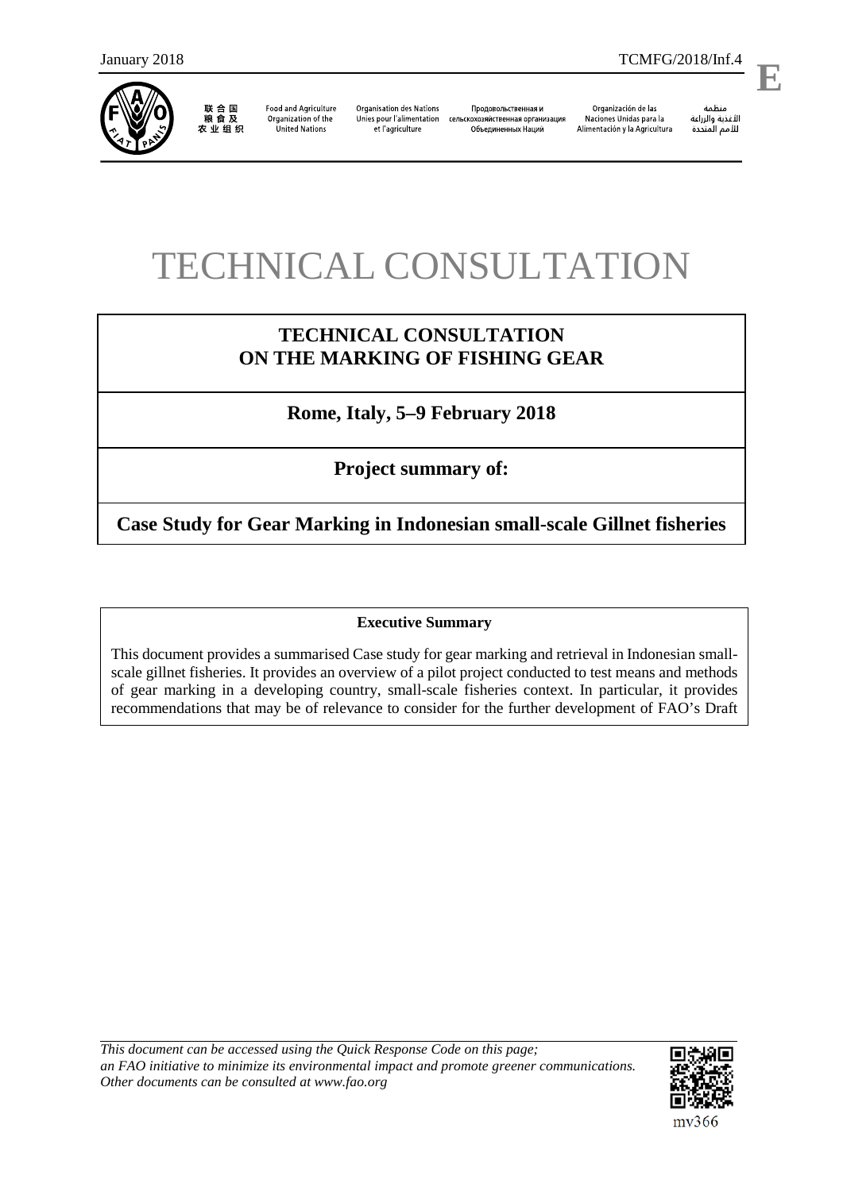

j

联合国<br>粮食及 农业组织

**Food and Agriculture** Organization of the **United Nations** 

**Organisation des Nations** Unies pour l'alimentation et l'agriculture

Продовольственная и сельскохозяйственная организация Объединенных Наций

Organización de las Naciones Unidas para la Alimentación y la Agricultura

منظمة الأغذية والزراعة

.

# TECHNICAL CONSULTATION

# **TECHNICAL CONSULTATION ON THE MARKING OF FISHING GEAR**

**Rome, Italy, 5–9 February 2018**

**Project summary of:**

**Case Study for Gear Marking in Indonesian small-scale Gillnet fisheries**

# **Executive Summary**

This document provides a summarised Case study for gear marking and retrieval in Indonesian smallscale gillnet fisheries. It provides an overview of a pilot project conducted to test means and methods of gear marking in a developing country, small-scale fisheries context. In particular, it provides recommendations that may be of relevance to consider for the further development of FAO's Draft

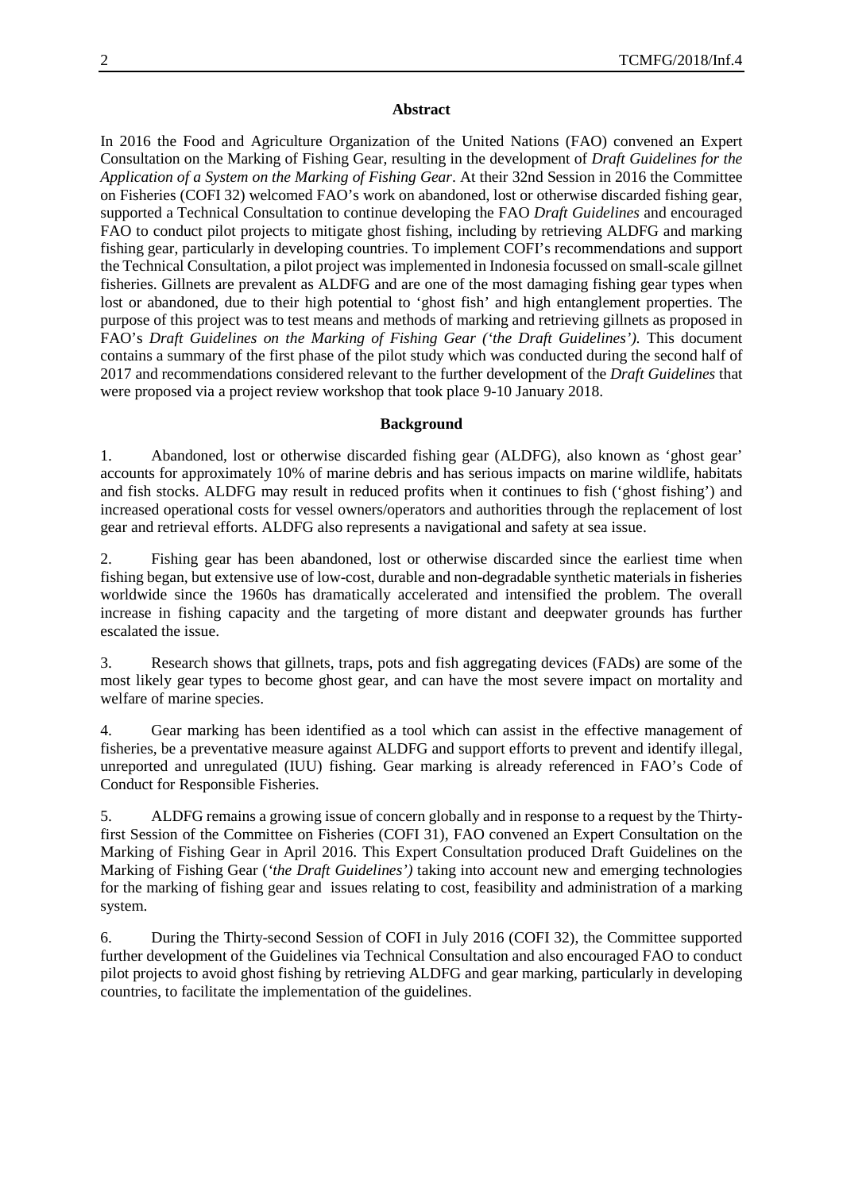#### **Abstract**

In 2016 the Food and Agriculture Organization of the United Nations (FAO) convened an Expert Consultation on the Marking of Fishing Gear, resulting in the development of *Draft Guidelines for the Application of a System on the Marking of Fishing Gear*. At their 32nd Session in 2016 the Committee on Fisheries (COFI 32) welcomed FAO's work on abandoned, lost or otherwise discarded fishing gear, supported a Technical Consultation to continue developing the FAO *Draft Guidelines* and encouraged FAO to conduct pilot projects to mitigate ghost fishing, including by retrieving ALDFG and marking fishing gear, particularly in developing countries. To implement COFI's recommendations and support the Technical Consultation, a pilot project was implemented in Indonesia focussed on small-scale gillnet fisheries. Gillnets are prevalent as ALDFG and are one of the most damaging fishing gear types when lost or abandoned, due to their high potential to 'ghost fish' and high entanglement properties. The purpose of this project was to test means and methods of marking and retrieving gillnets as proposed in FAO's *Draft Guidelines on the Marking of Fishing Gear ('the Draft Guidelines').* This document contains a summary of the first phase of the pilot study which was conducted during the second half of 2017 and recommendations considered relevant to the further development of the *Draft Guidelines* that were proposed via a project review workshop that took place 9-10 January 2018.

#### **Background**

1. Abandoned, lost or otherwise discarded fishing gear (ALDFG), also known as 'ghost gear' accounts for approximately 10% of marine debris and has serious impacts on marine wildlife, habitats and fish stocks. ALDFG may result in reduced profits when it continues to fish ('ghost fishing') and increased operational costs for vessel owners/operators and authorities through the replacement of lost gear and retrieval efforts. ALDFG also represents a navigational and safety at sea issue.

2. Fishing gear has been abandoned, lost or otherwise discarded since the earliest time when fishing began, but extensive use of low-cost, durable and non-degradable synthetic materials in fisheries worldwide since the 1960s has dramatically accelerated and intensified the problem. The overall increase in fishing capacity and the targeting of more distant and deepwater grounds has further escalated the issue.

3. Research shows that gillnets, traps, pots and fish aggregating devices (FADs) are some of the most likely gear types to become ghost gear, and can have the most severe impact on mortality and welfare of marine species.

4. Gear marking has been identified as a tool which can assist in the effective management of fisheries, be a preventative measure against ALDFG and support efforts to prevent and identify illegal, unreported and unregulated (IUU) fishing. Gear marking is already referenced in FAO's Code of Conduct for Responsible Fisheries.

5. ALDFG remains a growing issue of concern globally and in response to a request by the Thirtyfirst Session of the Committee on Fisheries (COFI 31), FAO convened an Expert Consultation on the Marking of Fishing Gear in April 2016. This Expert Consultation produced Draft Guidelines on the Marking of Fishing Gear (*'the Draft Guidelines')* taking into account new and emerging technologies for the marking of fishing gear and issues relating to cost, feasibility and administration of a marking system.

6. During the Thirty-second Session of COFI in July 2016 (COFI 32), the Committee supported further development of the Guidelines via Technical Consultation and also encouraged FAO to conduct pilot projects to avoid ghost fishing by retrieving ALDFG and gear marking, particularly in developing countries, to facilitate the implementation of the guidelines.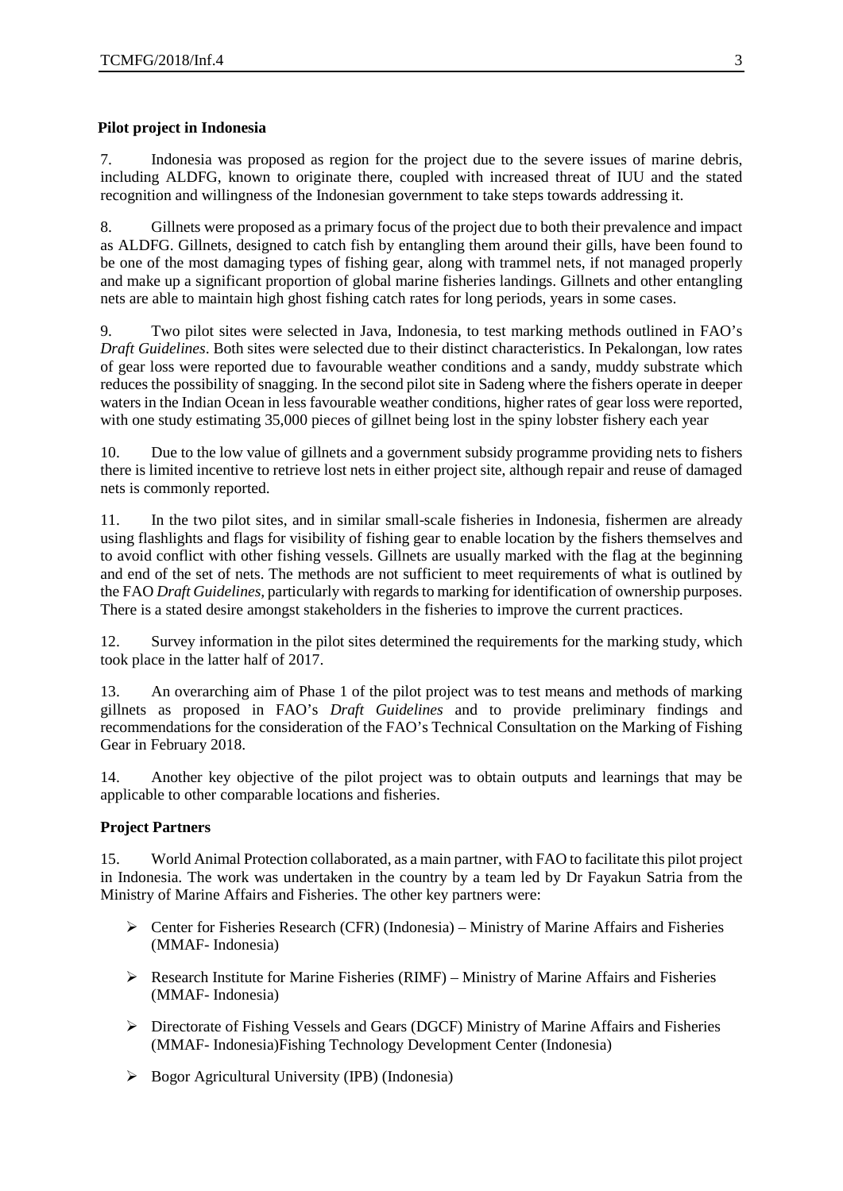# **Pilot project in Indonesia**

7. Indonesia was proposed as region for the project due to the severe issues of marine debris, including ALDFG, known to originate there, coupled with increased threat of IUU and the stated recognition and willingness of the Indonesian government to take steps towards addressing it.

8. Gillnets were proposed as a primary focus of the project due to both their prevalence and impact as ALDFG. Gillnets, designed to catch fish by entangling them around their gills, have been found to be one of the most damaging types of fishing gear, along with trammel nets, if not managed properly and make up a significant proportion of global marine fisheries landings. Gillnets and other entangling nets are able to maintain high ghost fishing catch rates for long periods, years in some cases.

9. Two pilot sites were selected in Java, Indonesia, to test marking methods outlined in FAO's *Draft Guidelines*. Both sites were selected due to their distinct characteristics. In Pekalongan, low rates of gear loss were reported due to favourable weather conditions and a sandy, muddy substrate which reduces the possibility of snagging. In the second pilot site in Sadeng where the fishers operate in deeper waters in the Indian Ocean in less favourable weather conditions, higher rates of gear loss were reported, with one study estimating 35,000 pieces of gillnet being lost in the spiny lobster fishery each year

10. Due to the low value of gillnets and a government subsidy programme providing nets to fishers there is limited incentive to retrieve lost nets in either project site, although repair and reuse of damaged nets is commonly reported.

11. In the two pilot sites, and in similar small-scale fisheries in Indonesia, fishermen are already using flashlights and flags for visibility of fishing gear to enable location by the fishers themselves and to avoid conflict with other fishing vessels. Gillnets are usually marked with the flag at the beginning and end of the set of nets. The methods are not sufficient to meet requirements of what is outlined by the FAO *Draft Guidelines,* particularly with regards to marking for identification of ownership purposes. There is a stated desire amongst stakeholders in the fisheries to improve the current practices.

12. Survey information in the pilot sites determined the requirements for the marking study, which took place in the latter half of 2017.

13. An overarching aim of Phase 1 of the pilot project was to test means and methods of marking gillnets as proposed in FAO's *Draft Guidelines* and to provide preliminary findings and recommendations for the consideration of the FAO's Technical Consultation on the Marking of Fishing Gear in February 2018.

14. Another key objective of the pilot project was to obtain outputs and learnings that may be applicable to other comparable locations and fisheries.

# **Project Partners**

15. World Animal Protection collaborated, as a main partner, with FAO to facilitate this pilot project in Indonesia. The work was undertaken in the country by a team led by Dr Fayakun Satria from the Ministry of Marine Affairs and Fisheries. The other key partners were:

- $\triangleright$  Center for Fisheries Research (CFR) (Indonesia) Ministry of Marine Affairs and Fisheries (MMAF- Indonesia)
- $\triangleright$  Research Institute for Marine Fisheries (RIMF) Ministry of Marine Affairs and Fisheries (MMAF- Indonesia)
- Directorate of Fishing Vessels and Gears (DGCF) Ministry of Marine Affairs and Fisheries (MMAF- Indonesia)Fishing Technology Development Center (Indonesia)
- $\triangleright$  Bogor Agricultural University (IPB) (Indonesia)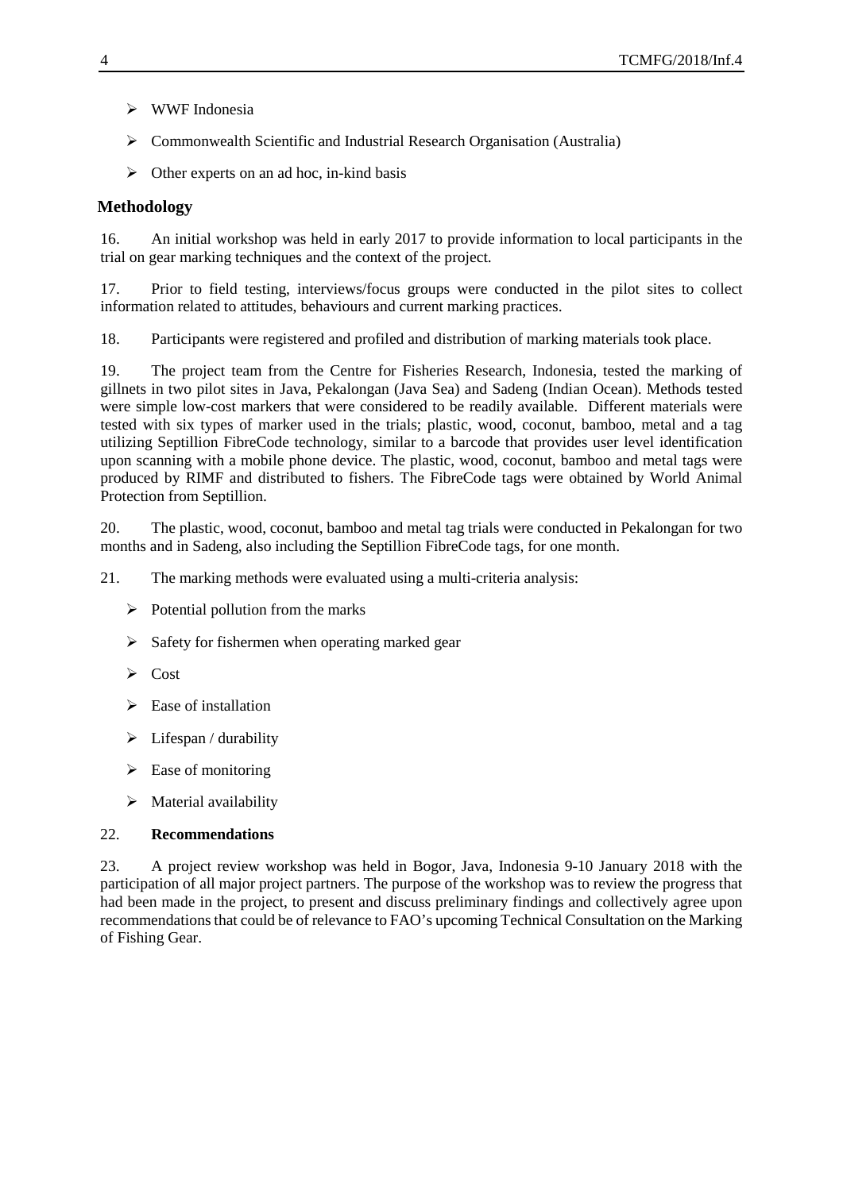- WWF Indonesia
- Commonwealth Scientific and Industrial Research Organisation (Australia)
- $\triangleright$  Other experts on an ad hoc, in-kind basis

# **Methodology**

16. An initial workshop was held in early 2017 to provide information to local participants in the trial on gear marking techniques and the context of the project.

17. Prior to field testing, interviews/focus groups were conducted in the pilot sites to collect information related to attitudes, behaviours and current marking practices.

18. Participants were registered and profiled and distribution of marking materials took place.

19. The project team from the Centre for Fisheries Research, Indonesia, tested the marking of gillnets in two pilot sites in Java, Pekalongan (Java Sea) and Sadeng (Indian Ocean). Methods tested were simple low-cost markers that were considered to be readily available. Different materials were tested with six types of marker used in the trials; plastic, wood, coconut, bamboo, metal and a tag utilizing Septillion FibreCode technology, similar to a barcode that provides user level identification upon scanning with a mobile phone device. The plastic, wood, coconut, bamboo and metal tags were produced by RIMF and distributed to fishers. The FibreCode tags were obtained by World Animal Protection from Septillion.

20. The plastic, wood, coconut, bamboo and metal tag trials were conducted in Pekalongan for two months and in Sadeng, also including the Septillion FibreCode tags, for one month.

21. The marking methods were evaluated using a multi-criteria analysis:

- $\triangleright$  Potential pollution from the marks
- $\triangleright$  Safety for fishermen when operating marked gear
- $\triangleright$  Cost
- $\triangleright$  Ease of installation
- $\triangleright$  Lifespan / durability
- $\triangleright$  Ease of monitoring
- $\triangleright$  Material availability

#### 22. **Recommendations**

23. A project review workshop was held in Bogor, Java, Indonesia 9-10 January 2018 with the participation of all major project partners. The purpose of the workshop was to review the progress that had been made in the project, to present and discuss preliminary findings and collectively agree upon recommendations that could be of relevance to FAO's upcoming Technical Consultation on the Marking of Fishing Gear.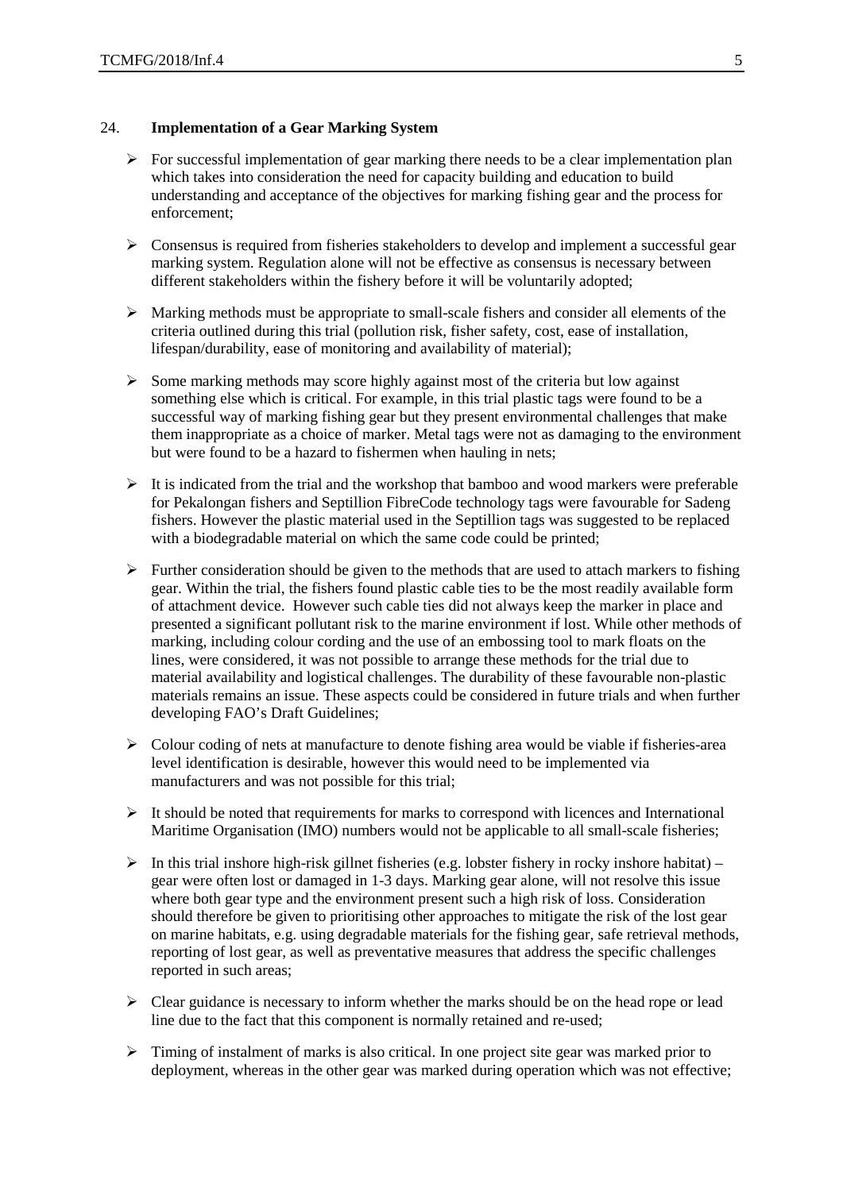#### 24. **Implementation of a Gear Marking System**

- $\triangleright$  For successful implementation of gear marking there needs to be a clear implementation plan which takes into consideration the need for capacity building and education to build understanding and acceptance of the objectives for marking fishing gear and the process for enforcement;
- $\triangleright$  Consensus is required from fisheries stakeholders to develop and implement a successful gear marking system. Regulation alone will not be effective as consensus is necessary between different stakeholders within the fishery before it will be voluntarily adopted;
- $\triangleright$  Marking methods must be appropriate to small-scale fishers and consider all elements of the criteria outlined during this trial (pollution risk, fisher safety, cost, ease of installation, lifespan/durability, ease of monitoring and availability of material);
- $\triangleright$  Some marking methods may score highly against most of the criteria but low against something else which is critical. For example, in this trial plastic tags were found to be a successful way of marking fishing gear but they present environmental challenges that make them inappropriate as a choice of marker. Metal tags were not as damaging to the environment but were found to be a hazard to fishermen when hauling in nets;
- $\triangleright$  It is indicated from the trial and the workshop that bamboo and wood markers were preferable for Pekalongan fishers and Septillion FibreCode technology tags were favourable for Sadeng fishers. However the plastic material used in the Septillion tags was suggested to be replaced with a biodegradable material on which the same code could be printed;
- $\triangleright$  Further consideration should be given to the methods that are used to attach markers to fishing gear. Within the trial, the fishers found plastic cable ties to be the most readily available form of attachment device. However such cable ties did not always keep the marker in place and presented a significant pollutant risk to the marine environment if lost. While other methods of marking, including colour cording and the use of an embossing tool to mark floats on the lines, were considered, it was not possible to arrange these methods for the trial due to material availability and logistical challenges. The durability of these favourable non-plastic materials remains an issue. These aspects could be considered in future trials and when further developing FAO's Draft Guidelines;
- $\triangleright$  Colour coding of nets at manufacture to denote fishing area would be viable if fisheries-area level identification is desirable, however this would need to be implemented via manufacturers and was not possible for this trial;
- $\triangleright$  It should be noted that requirements for marks to correspond with licences and International Maritime Organisation (IMO) numbers would not be applicable to all small-scale fisheries;
- $\triangleright$  In this trial inshore high-risk gillnet fisheries (e.g. lobster fishery in rocky inshore habitat) gear were often lost or damaged in 1-3 days. Marking gear alone, will not resolve this issue where both gear type and the environment present such a high risk of loss. Consideration should therefore be given to prioritising other approaches to mitigate the risk of the lost gear on marine habitats, e.g. using degradable materials for the fishing gear, safe retrieval methods, reporting of lost gear, as well as preventative measures that address the specific challenges reported in such areas;
- $\triangleright$  Clear guidance is necessary to inform whether the marks should be on the head rope or lead line due to the fact that this component is normally retained and re-used;
- $\triangleright$  Timing of instalment of marks is also critical. In one project site gear was marked prior to deployment, whereas in the other gear was marked during operation which was not effective;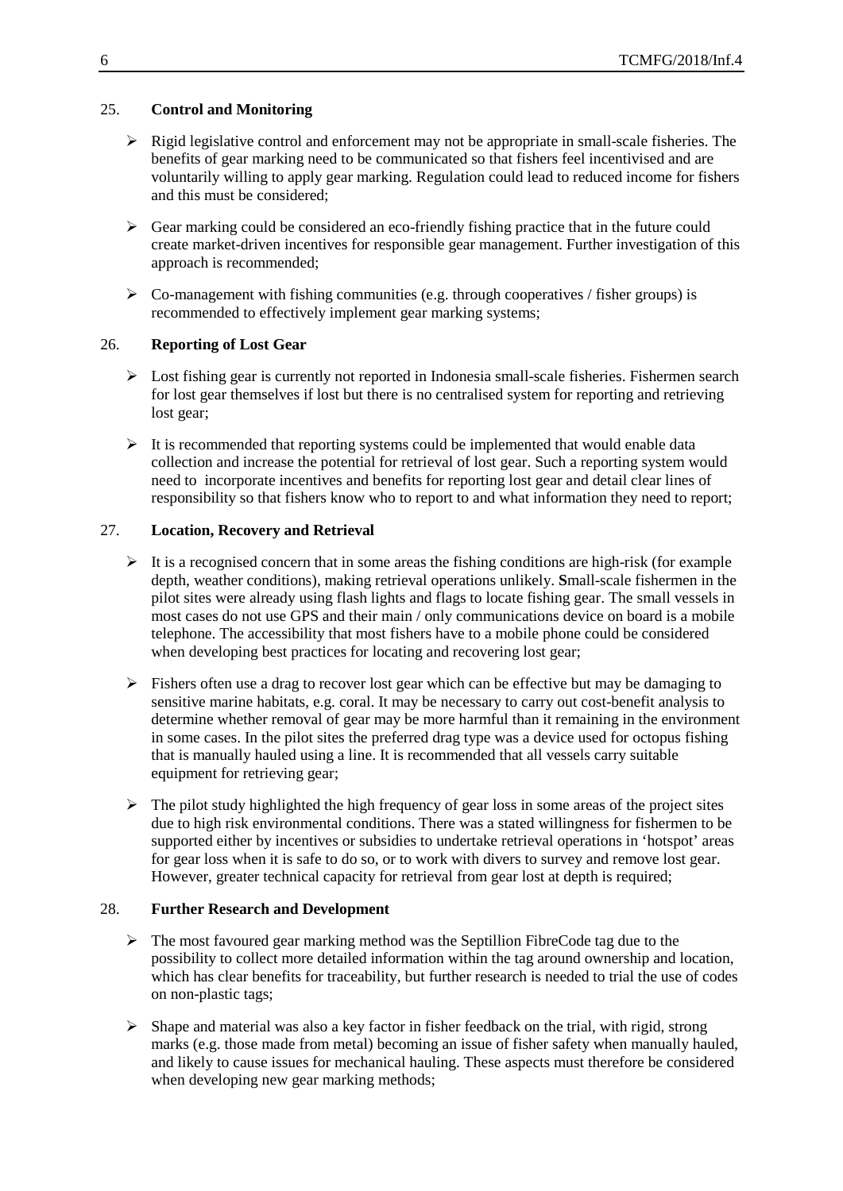## 25. **Control and Monitoring**

- $\triangleright$  Rigid legislative control and enforcement may not be appropriate in small-scale fisheries. The benefits of gear marking need to be communicated so that fishers feel incentivised and are voluntarily willing to apply gear marking. Regulation could lead to reduced income for fishers and this must be considered;
- $\triangleright$  Gear marking could be considered an eco-friendly fishing practice that in the future could create market-driven incentives for responsible gear management. Further investigation of this approach is recommended;
- $\triangleright$  Co-management with fishing communities (e.g. through cooperatives / fisher groups) is recommended to effectively implement gear marking systems;

#### 26. **Reporting of Lost Gear**

- $\triangleright$  Lost fishing gear is currently not reported in Indonesia small-scale fisheries. Fishermen search for lost gear themselves if lost but there is no centralised system for reporting and retrieving lost gear;
- $\triangleright$  It is recommended that reporting systems could be implemented that would enable data collection and increase the potential for retrieval of lost gear. Such a reporting system would need to incorporate incentives and benefits for reporting lost gear and detail clear lines of responsibility so that fishers know who to report to and what information they need to report;

## 27. **Location, Recovery and Retrieval**

- $\triangleright$  It is a recognised concern that in some areas the fishing conditions are high-risk (for example depth, weather conditions), making retrieval operations unlikely. **S**mall-scale fishermen in the pilot sites were already using flash lights and flags to locate fishing gear. The small vessels in most cases do not use GPS and their main / only communications device on board is a mobile telephone. The accessibility that most fishers have to a mobile phone could be considered when developing best practices for locating and recovering lost gear;
- $\triangleright$  Fishers often use a drag to recover lost gear which can be effective but may be damaging to sensitive marine habitats, e.g. coral. It may be necessary to carry out cost-benefit analysis to determine whether removal of gear may be more harmful than it remaining in the environment in some cases. In the pilot sites the preferred drag type was a device used for octopus fishing that is manually hauled using a line. It is recommended that all vessels carry suitable equipment for retrieving gear;
- $\triangleright$  The pilot study highlighted the high frequency of gear loss in some areas of the project sites due to high risk environmental conditions. There was a stated willingness for fishermen to be supported either by incentives or subsidies to undertake retrieval operations in 'hotspot' areas for gear loss when it is safe to do so, or to work with divers to survey and remove lost gear. However, greater technical capacity for retrieval from gear lost at depth is required;

#### 28. **Further Research and Development**

- $\triangleright$  The most favoured gear marking method was the Septillion FibreCode tag due to the possibility to collect more detailed information within the tag around ownership and location, which has clear benefits for traceability, but further research is needed to trial the use of codes on non-plastic tags;
- $\triangleright$  Shape and material was also a key factor in fisher feedback on the trial, with rigid, strong marks (e.g. those made from metal) becoming an issue of fisher safety when manually hauled, and likely to cause issues for mechanical hauling. These aspects must therefore be considered when developing new gear marking methods;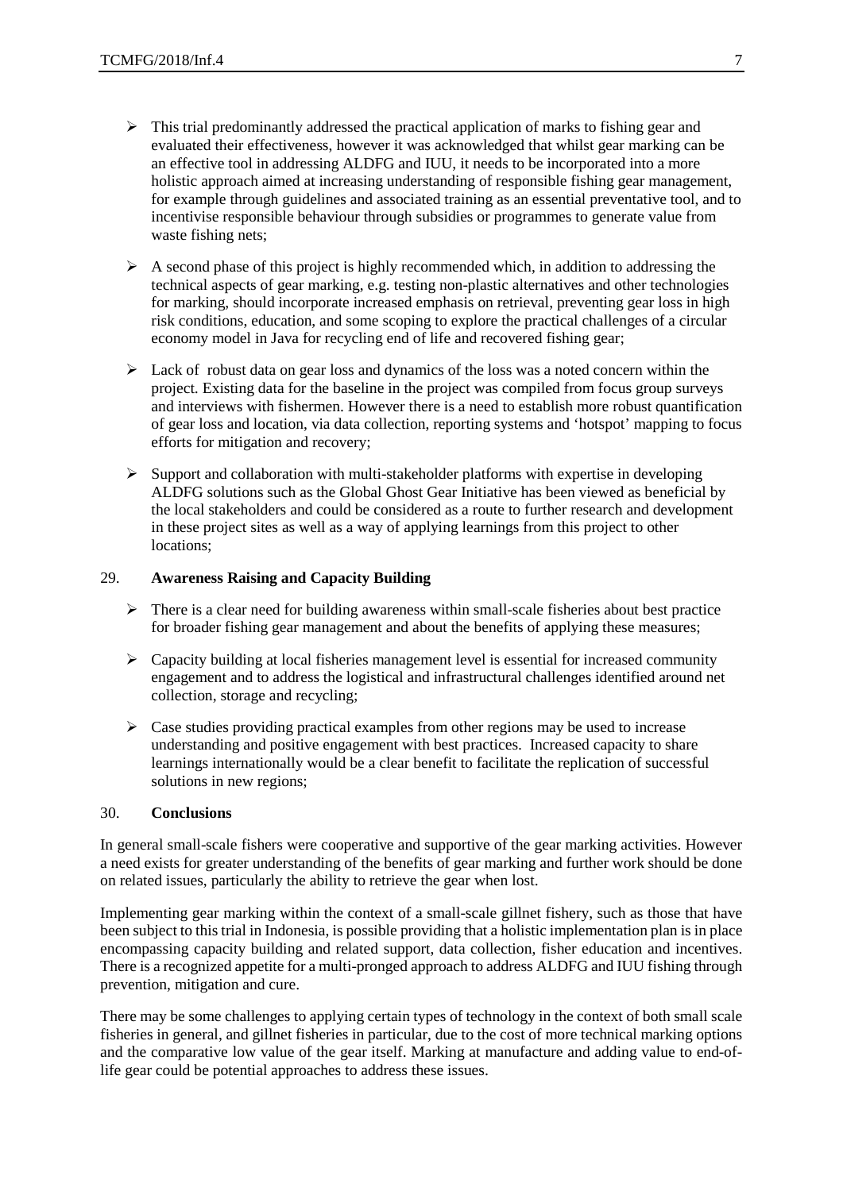- $\triangleright$  This trial predominantly addressed the practical application of marks to fishing gear and evaluated their effectiveness, however it was acknowledged that whilst gear marking can be an effective tool in addressing ALDFG and IUU, it needs to be incorporated into a more holistic approach aimed at increasing understanding of responsible fishing gear management, for example through guidelines and associated training as an essential preventative tool, and to incentivise responsible behaviour through subsidies or programmes to generate value from waste fishing nets;
- $\triangleright$  A second phase of this project is highly recommended which, in addition to addressing the technical aspects of gear marking, e.g. testing non-plastic alternatives and other technologies for marking, should incorporate increased emphasis on retrieval, preventing gear loss in high risk conditions, education, and some scoping to explore the practical challenges of a circular economy model in Java for recycling end of life and recovered fishing gear;
- $\triangleright$  Lack of robust data on gear loss and dynamics of the loss was a noted concern within the project. Existing data for the baseline in the project was compiled from focus group surveys and interviews with fishermen. However there is a need to establish more robust quantification of gear loss and location, via data collection, reporting systems and 'hotspot' mapping to focus efforts for mitigation and recovery;
- $\triangleright$  Support and collaboration with multi-stakeholder platforms with expertise in developing ALDFG solutions such as the Global Ghost Gear Initiative has been viewed as beneficial by the local stakeholders and could be considered as a route to further research and development in these project sites as well as a way of applying learnings from this project to other locations;

#### 29. **Awareness Raising and Capacity Building**

- $\triangleright$  There is a clear need for building awareness within small-scale fisheries about best practice for broader fishing gear management and about the benefits of applying these measures;
- $\triangleright$  Capacity building at local fisheries management level is essential for increased community engagement and to address the logistical and infrastructural challenges identified around net collection, storage and recycling;
- $\triangleright$  Case studies providing practical examples from other regions may be used to increase understanding and positive engagement with best practices. Increased capacity to share learnings internationally would be a clear benefit to facilitate the replication of successful solutions in new regions;

#### 30. **Conclusions**

In general small-scale fishers were cooperative and supportive of the gear marking activities. However a need exists for greater understanding of the benefits of gear marking and further work should be done on related issues, particularly the ability to retrieve the gear when lost.

Implementing gear marking within the context of a small-scale gillnet fishery, such as those that have been subject to this trial in Indonesia, is possible providing that a holistic implementation plan is in place encompassing capacity building and related support, data collection, fisher education and incentives. There is a recognized appetite for a multi-pronged approach to address ALDFG and IUU fishing through prevention, mitigation and cure.

There may be some challenges to applying certain types of technology in the context of both small scale fisheries in general, and gillnet fisheries in particular, due to the cost of more technical marking options and the comparative low value of the gear itself. Marking at manufacture and adding value to end-oflife gear could be potential approaches to address these issues.